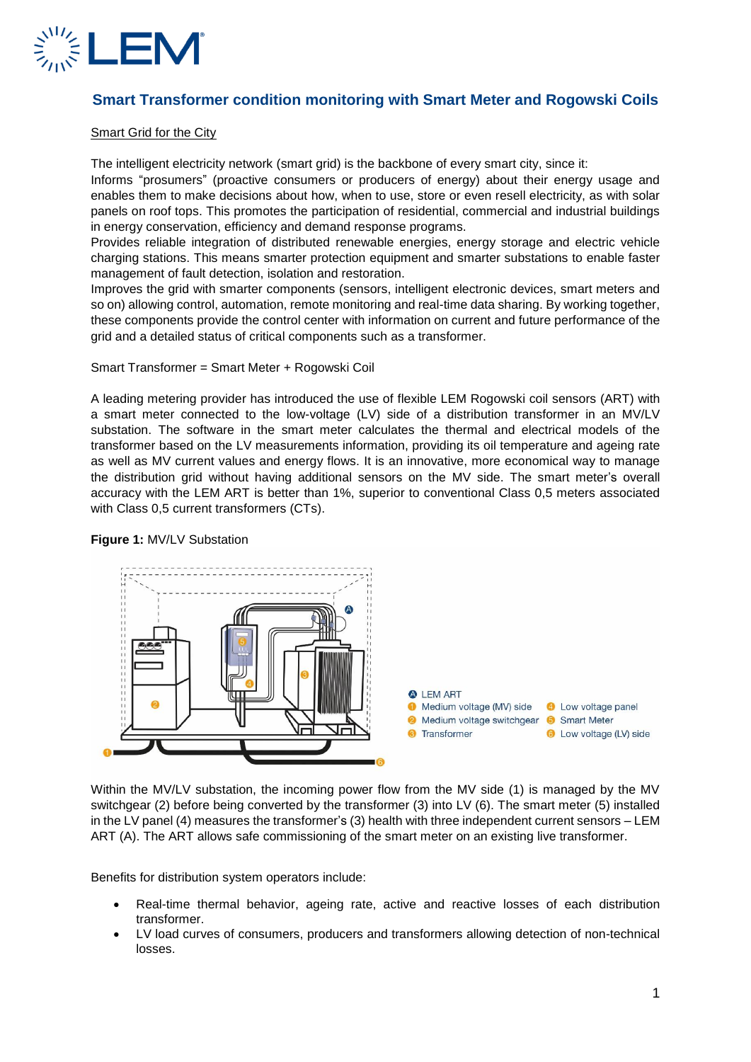

# **Smart Transformer condition monitoring with Smart Meter and Rogowski Coils**

#### Smart Grid for the City

The intelligent electricity network (smart grid) is the backbone of every smart city, since it:

Informs "prosumers" (proactive consumers or producers of energy) about their energy usage and enables them to make decisions about how, when to use, store or even resell electricity, as with solar panels on roof tops. This promotes the participation of residential, commercial and industrial buildings in energy conservation, efficiency and demand response programs.

Provides reliable integration of distributed renewable energies, energy storage and electric vehicle charging stations. This means smarter protection equipment and smarter substations to enable faster management of fault detection, isolation and restoration.

Improves the grid with smarter components (sensors, intelligent electronic devices, smart meters and so on) allowing control, automation, remote monitoring and real-time data sharing. By working together, these components provide the control center with information on current and future performance of the grid and a detailed status of critical components such as a transformer.

Smart Transformer = Smart Meter + Rogowski Coil

A leading metering provider has introduced the use of flexible LEM Rogowski coil sensors (ART) with a smart meter connected to the low-voltage (LV) side of a distribution transformer in an MV/LV substation. The software in the smart meter calculates the thermal and electrical models of the transformer based on the LV measurements information, providing its oil temperature and ageing rate as well as MV current values and energy flows. It is an innovative, more economical way to manage the distribution grid without having additional sensors on the MV side. The smart meter's overall accuracy with the LEM ART is better than 1%, superior to conventional Class 0,5 meters associated with Class 0,5 current transformers (CTs).



# **Figure 1:** MV/LV Substation

Within the MV/LV substation, the incoming power flow from the MV side (1) is managed by the MV switchgear (2) before being converted by the transformer (3) into LV (6). The smart meter (5) installed in the LV panel (4) measures the transformer's (3) health with three independent current sensors – LEM ART (A). The ART allows safe commissioning of the smart meter on an existing live transformer.

Benefits for distribution system operators include:

- Real-time thermal behavior, ageing rate, active and reactive losses of each distribution transformer.
- LV load curves of consumers, producers and transformers allowing detection of non-technical losses.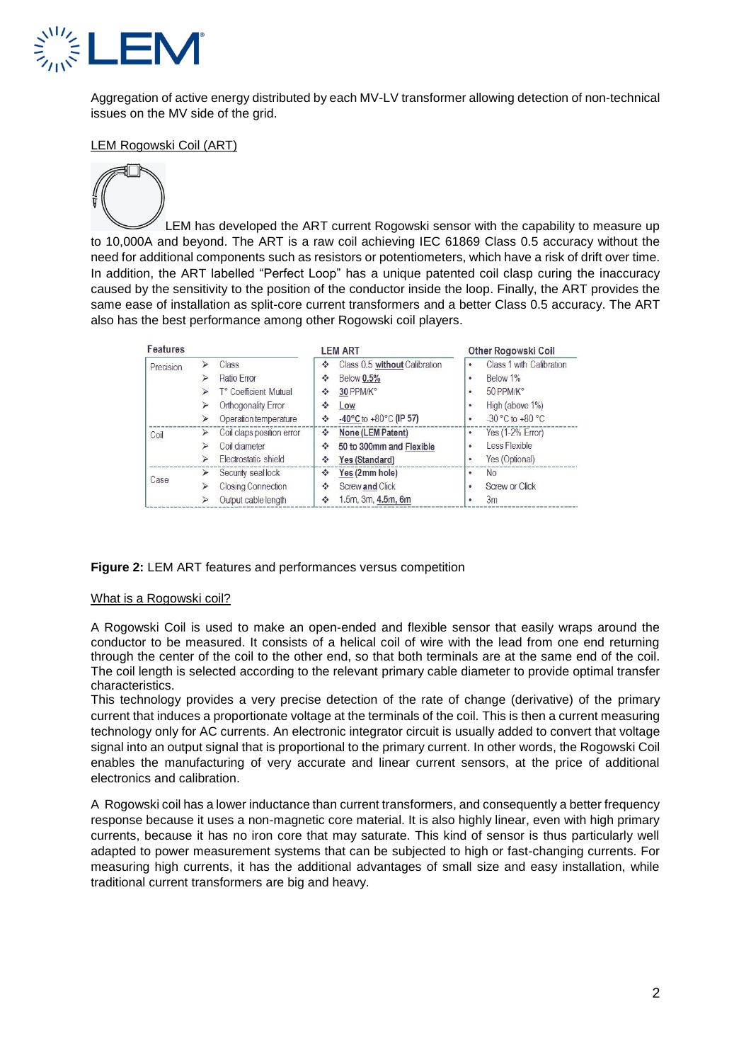

Aggregation of active energy distributed by each MV-LV transformer allowing detection of non-technical issues on the MV side of the grid.

## LEM Rogowski Coil (ART)

LEM has developed the ART current Rogowski sensor with the capability to measure up to 10,000A and beyond. The ART is a raw coil achieving IEC 61869 Class 0.5 accuracy without the need for additional components such as resistors or potentiometers, which have a risk of drift over time. In addition, the ART labelled "Perfect Loop" has a unique patented coil clasp curing the inaccuracy caused by the sensitivity to the position of the conductor inside the loop. Finally, the ART provides the same ease of installation as split-core current transformers and a better Class 0.5 accuracy. The ART also has the best performance among other Rogowski coil players.

| <b>Features</b> |   |                           | <b>LEM ART</b>                                  | <b>Other Rogowski Coil</b>              |
|-----------------|---|---------------------------|-------------------------------------------------|-----------------------------------------|
| Precision       |   | Class                     | Class 0.5 without Calibration<br>÷              | Class 1 with Calibration<br>٠           |
|                 |   | Ratio Error               | <b>Below 0.5%</b><br>٠                          | Below 1%<br>٠                           |
|                 |   | T° Coefficient Mutual     | 30 PPM/K°<br>٠                                  | 50 PPM/K°<br>$\bullet$                  |
|                 |   | Orthogonality Error       | ٠<br>Low                                        | High (above 1%)<br>٠                    |
|                 |   | Operation temperature     | $-40^{\circ}$ C to $+80^{\circ}$ C (IP 57)<br>٠ | $-30^{\circ}$ C to $+80^{\circ}$ C<br>٠ |
| Coil            |   | Coil claps position error | None (LEM Patent)<br>٠                          | Yes $(1-2%$ Error)<br>٠                 |
|                 |   | Coil diameter             | ٠<br>50 to 300mm and Flexible                   | Less Flexible<br>٠                      |
|                 | ⋗ | Flectrostatic shield      | Yes (Standard)<br>÷                             | Yes (Optional)<br>٠                     |
| Case            |   | Security seal lock        | ٠<br>Yes (2mm hole)                             | No<br>٠                                 |
|                 |   | <b>Closing Connection</b> | Screw and Click<br>٠                            | Screw or Click<br>٠                     |
|                 |   | Output cable length       | 1.5m, 3m, 4.5m, 6m<br>٠                         | 3m<br>٠                                 |

#### **Figure 2:** LEM ART features and performances versus competition

#### What is a Rogowski coil?

A Rogowski Coil is used to make an open-ended and flexible sensor that easily wraps around the conductor to be measured. It consists of a helical coil of wire with the lead from one end returning through the center of the coil to the other end, so that both terminals are at the same end of the coil. The coil length is selected according to the relevant primary cable diameter to provide optimal transfer characteristics.

This technology provides a very precise detection of the rate of change (derivative) of the primary current that induces a proportionate voltage at the terminals of the coil. This is then a current measuring technology only for AC currents. An electronic integrator circuit is usually added to convert that voltage signal into an output signal that is proportional to the primary current. In other words, the Rogowski Coil enables the manufacturing of very accurate and linear current sensors, at the price of additional electronics and calibration.

A Rogowski coil has a lower inductance than current transformers, and consequently a better frequency response because it uses a non-magnetic core material. It is also highly linear, even with high primary currents, because it has no iron core that may saturate. This kind of sensor is thus particularly well adapted to power measurement systems that can be subjected to high or fast-changing currents. For measuring high currents, it has the additional advantages of small size and easy installation, while traditional current transformers are big and heavy.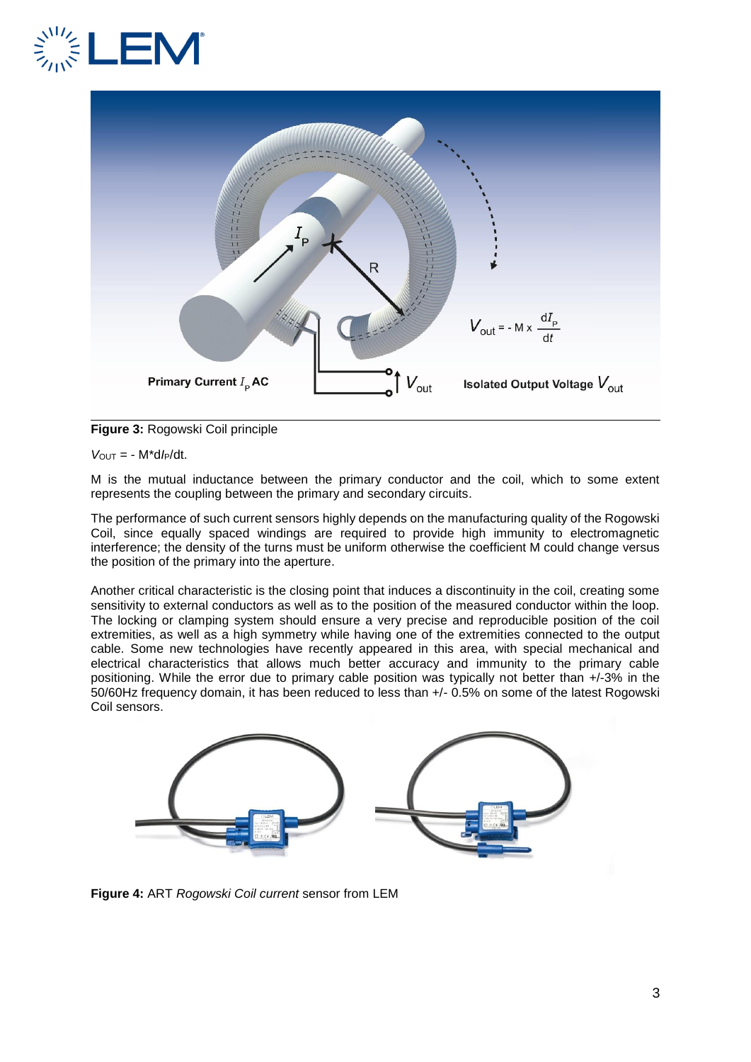



# **Figure 3:** Rogowski Coil principle

*V*OUT = - M\*d*I*P/dt.

M is the mutual inductance between the primary conductor and the coil, which to some extent represents the coupling between the primary and secondary circuits.

The performance of such current sensors highly depends on the manufacturing quality of the Rogowski Coil, since equally spaced windings are required to provide high immunity to electromagnetic interference; the density of the turns must be uniform otherwise the coefficient M could change versus the position of the primary into the aperture.

Another critical characteristic is the closing point that induces a discontinuity in the coil, creating some sensitivity to external conductors as well as to the position of the measured conductor within the loop. The locking or clamping system should ensure a very precise and reproducible position of the coil extremities, as well as a high symmetry while having one of the extremities connected to the output cable. Some new technologies have recently appeared in this area, with special mechanical and electrical characteristics that allows much better accuracy and immunity to the primary cable positioning. While the error due to primary cable position was typically not better than +/-3% in the 50/60Hz frequency domain, it has been reduced to less than +/- 0.5% on some of the latest Rogowski Coil sensors.



**Figure 4:** ART *Rogowski Coil current* sensor from LEM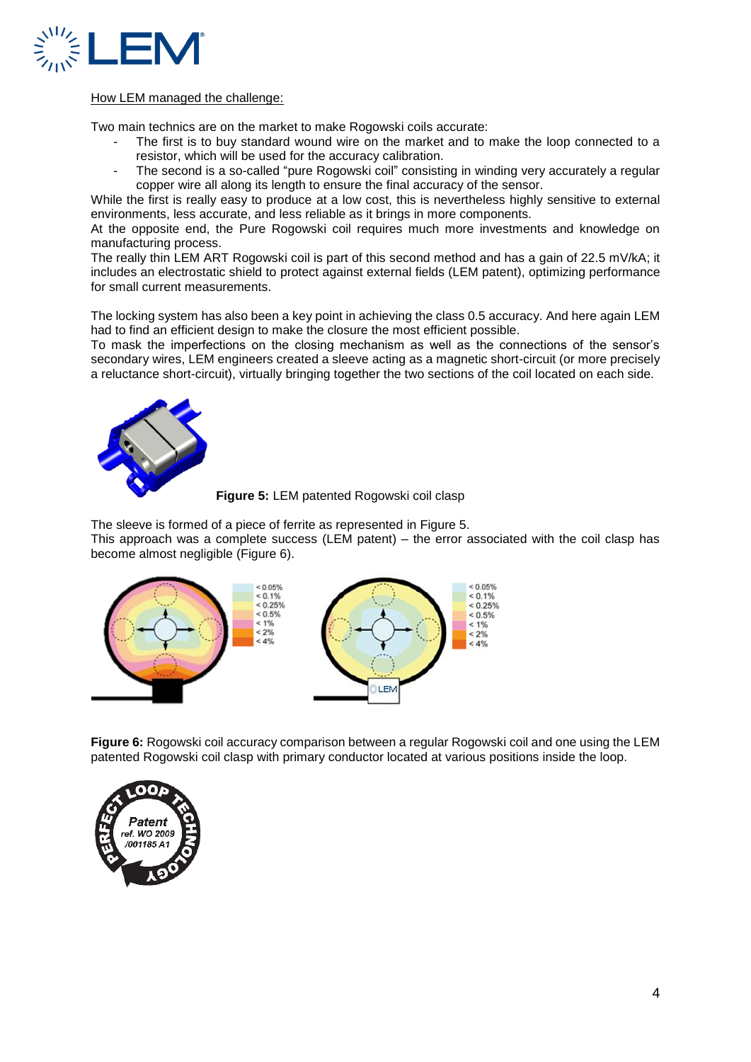

#### How LEM managed the challenge:

Two main technics are on the market to make Rogowski coils accurate:

- The first is to buy standard wound wire on the market and to make the loop connected to a resistor, which will be used for the accuracy calibration.
- The second is a so-called "pure Rogowski coil" consisting in winding very accurately a regular copper wire all along its length to ensure the final accuracy of the sensor.

While the first is really easy to produce at a low cost, this is nevertheless highly sensitive to external environments, less accurate, and less reliable as it brings in more components.

At the opposite end, the Pure Rogowski coil requires much more investments and knowledge on manufacturing process.

The really thin LEM ART Rogowski coil is part of this second method and has a gain of 22.5 mV/kA; it includes an electrostatic shield to protect against external fields (LEM patent), optimizing performance for small current measurements.

The locking system has also been a key point in achieving the class 0.5 accuracy. And here again LEM had to find an efficient design to make the closure the most efficient possible.

To mask the imperfections on the closing mechanism as well as the connections of the sensor's secondary wires, LEM engineers created a sleeve acting as a magnetic short-circuit (or more precisely a reluctance short-circuit), virtually bringing together the two sections of the coil located on each side.



**Figure 5:** LEM patented Rogowski coil clasp

The sleeve is formed of a piece of ferrite as represented in Figure 5. This approach was a complete success (LEM patent) – the error associated with the coil clasp has become almost negligible (Figure 6).



**Figure 6:** Rogowski coil accuracy comparison between a regular Rogowski coil and one using the LEM patented Rogowski coil clasp with primary conductor located at various positions inside the loop.

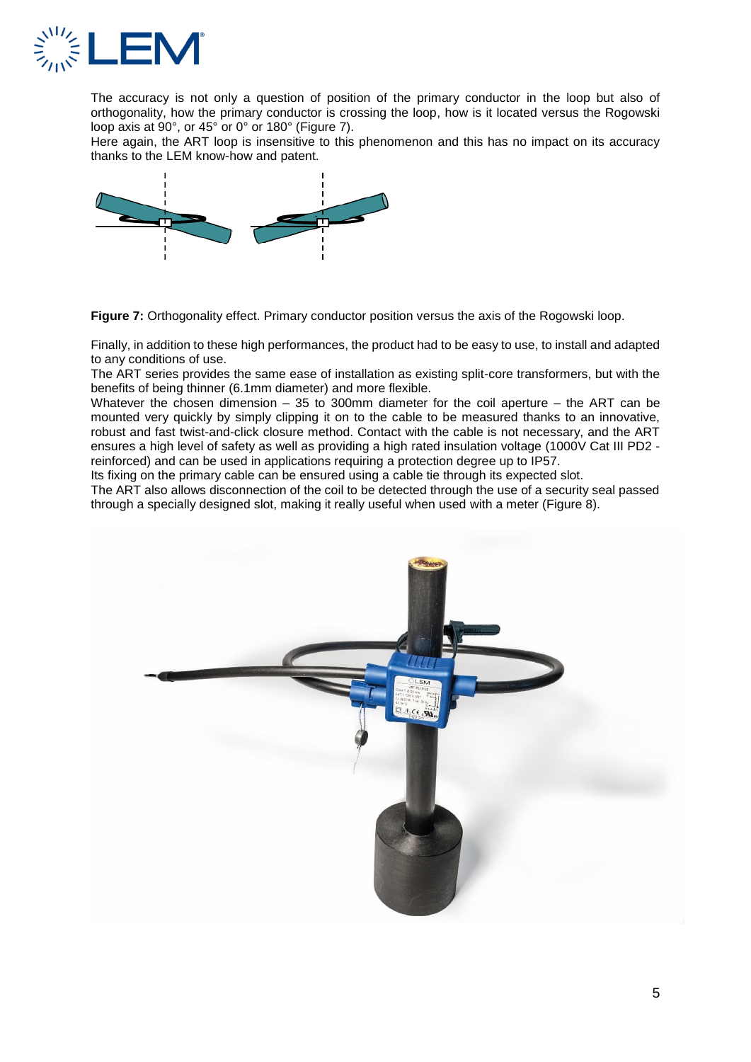

The accuracy is not only a question of position of the primary conductor in the loop but also of orthogonality, how the primary conductor is crossing the loop, how is it located versus the Rogowski loop axis at 90°, or 45° or 0° or 180° (Figure 7).

Here again, the ART loop is insensitive to this phenomenon and this has no impact on its accuracy thanks to the LEM know-how and patent.



**Figure 7:** Orthogonality effect. Primary conductor position versus the axis of the Rogowski loop.

Finally, in addition to these high performances, the product had to be easy to use, to install and adapted to any conditions of use.

The ART series provides the same ease of installation as existing split-core transformers, but with the benefits of being thinner (6.1mm diameter) and more flexible.

Whatever the chosen dimension – 35 to 300mm diameter for the coil aperture – the ART can be mounted very quickly by simply clipping it on to the cable to be measured thanks to an innovative, robust and fast twist-and-click closure method. Contact with the cable is not necessary, and the ART ensures a high level of safety as well as providing a high rated insulation voltage (1000V Cat III PD2 reinforced) and can be used in applications requiring a protection degree up to IP57.

Its fixing on the primary cable can be ensured using a cable tie through its expected slot.

The ART also allows disconnection of the coil to be detected through the use of a security seal passed through a specially designed slot, making it really useful when used with a meter (Figure 8).